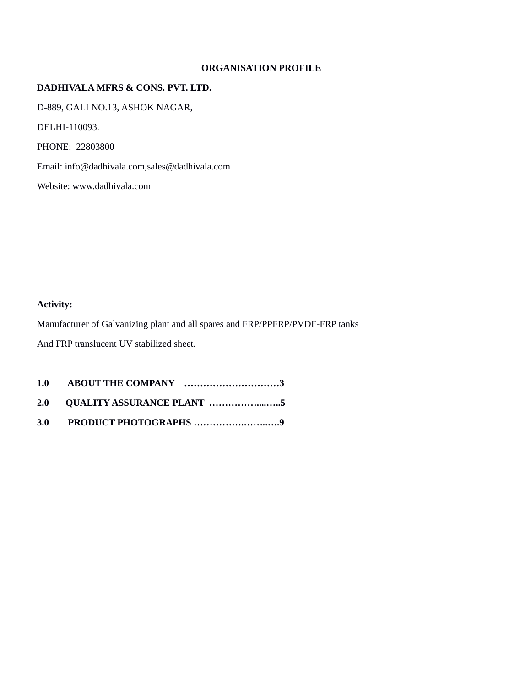#### **ORGANISATION PROFILE**

#### **DADHIVALA MFRS & CONS. PVT. LTD.**

D-889, GALI NO.13, ASHOK NAGAR, DELHI-110093. PHONE: 22803800 Email: info@dadhivala.com,sales@dadhivala.com Website: www.dadhivala.com

#### **Activity:**

Manufacturer of Galvanizing plant and all spares and FRP/PPFRP/PVDF-FRP tanks

And FRP translucent UV stabilized sheet.

**1.0 ABOUT THE COMPANY …………………………3 2.0 QUALITY ASSURANCE PLANT ……………....…..5 3.0 PRODUCT PHOTOGRAPHS …………….……..….9**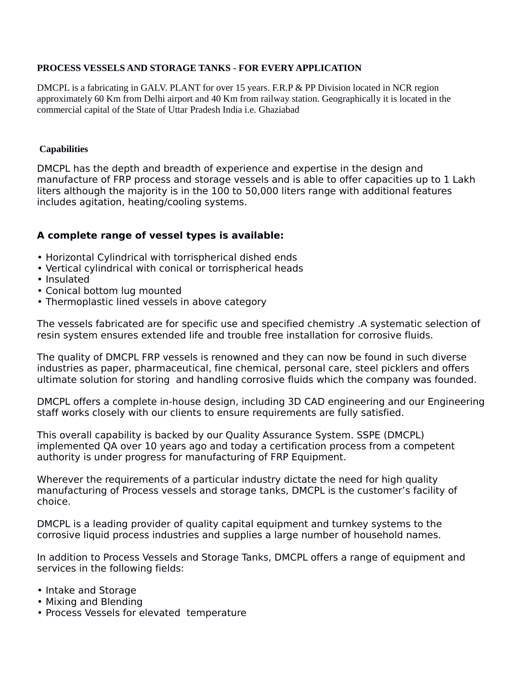### **PROCESS VESSELS AND STORAGE TANKS - FOR EVERY APPLICATION**

DMCPL is a fabricating in GALV. PLANT for over 15 years. F.R.P & PP Division located in NCR region approximately 60 Km from Delhi airport and 40 Km from railway station. Geographically it is located in the commercial capital of the State of Uttar Pradesh India i.e. Ghaziabad

#### **Capabilities**

DMCPL has the depth and breadth of experience and expertise in the design and manufacture of FRP process and storage vessels and is able to offer capacities up to 1 Lakh liters although the majority is in the 100 to 50,000 liters range with additional features includes agitation, heating/cooling systems.

### **A complete range of vessel types is available:**

- Horizontal Cylindrical with torrispherical dished ends
- Vertical cylindrical with conical or torrispherical heads
- Insulated
- Conical bottom lug mounted
- Thermoplastic lined vessels in above category

The vessels fabricated are for specific use and specified chemistry .A systematic selection of resin system ensures extended life and trouble free installation for corrosive fluids.

The quality of DMCPL FRP vessels is renowned and they can now be found in such diverse industries as paper, pharmaceutical, fine chemical, personal care, steel picklers and offers ultimate solution for storing and handling corrosive fluids which the company was founded.

DMCPL offers a complete in-house design, including 3D CAD engineering and our Engineering staff works closely with our clients to ensure requirements are fully satisfied.

This overall capability is backed by our Quality Assurance System. SSPE (DMCPL) implemented QA over 10 years ago and today a certification process from a competent authority is under progress for manufacturing of FRP Equipment.

Wherever the requirements of a particular industry dictate the need for high quality manufacturing of Process vessels and storage tanks, DMCPL is the customer's facility of choice.

DMCPL is a leading provider of quality capital equipment and turnkey systems to the corrosive liquid process industries and supplies a large number of household names.

In addition to Process Vessels and Storage Tanks, DMCPL offers a range of equipment and services in the following fields:

- Intake and Storage
- Mixing and Blending
- Process Vessels for elevated temperature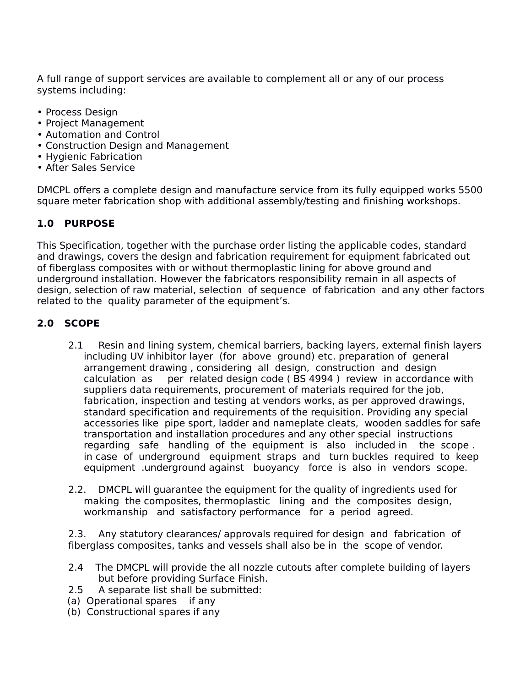A full range of support services are available to complement all or any of our process systems including:

- Process Design
- Project Management
- Automation and Control
- Construction Design and Management
- Hygienic Fabrication
- After Sales Service

DMCPL offers a complete design and manufacture service from its fully equipped works 5500 square meter fabrication shop with additional assembly/testing and finishing workshops.

## **1.0 PURPOSE**

This Specification, together with the purchase order listing the applicable codes, standard and drawings, covers the design and fabrication requirement for equipment fabricated out of fiberglass composites with or without thermoplastic lining for above ground and underground installation. However the fabricators responsibility remain in all aspects of design, selection of raw material, selection of sequence of fabrication and any other factors related to the quality parameter of the equipment's.

## **2.0 SCOPE**

- 2.1 Resin and lining system, chemical barriers, backing layers, external finish layers including UV inhibitor layer (for above ground) etc. preparation of general arrangement drawing , considering all design, construction and design calculation as per related design code ( BS 4994 ) review in accordance with suppliers data requirements, procurement of materials required for the job, fabrication, inspection and testing at vendors works, as per approved drawings, standard specification and requirements of the requisition. Providing any special accessories like pipe sport, ladder and nameplate cleats, wooden saddles for safe transportation and installation procedures and any other special instructions regarding safe handling of the equipment is also included in the scope . in case of underground equipment straps and turn buckles required to keep equipment .underground against buoyancy force is also in vendors scope.
- 2.2. DMCPL will guarantee the equipment for the quality of ingredients used for making the composites, thermoplastic lining and the composites design, workmanship and satisfactory performance for a period agreed.

2.3. Any statutory clearances/ approvals required for design and fabrication of fiberglass composites, tanks and vessels shall also be in the scope of vendor.

- 2.4 The DMCPL will provide the all nozzle cutouts after complete building of layers but before providing Surface Finish.
- 2.5 A separate list shall be submitted:
- (a) Operational spares if any
- (b) Constructional spares if any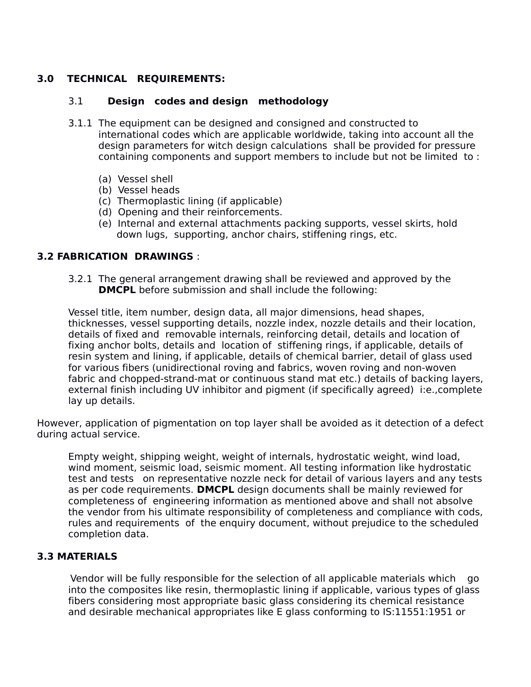### **3.0 TECHNICAL REQUIREMENTS:**

### 3.1 **Design codes and design methodology**

- 3.1.1 The equipment can be designed and consigned and constructed to international codes which are applicable worldwide, taking into account all the design parameters for witch design calculations shall be provided for pressure containing components and support members to include but not be limited to :
	- (a) Vessel shell
	- (b) Vessel heads
	- (c) Thermoplastic lining (if applicable)
	- (d) Opening and their reinforcements.
	- (e) Internal and external attachments packing supports, vessel skirts, hold down lugs, supporting, anchor chairs, stiffening rings, etc.

### **3.2 FABRICATION DRAWINGS** :

3.2.1 The general arrangement drawing shall be reviewed and approved by the **DMCPL** before submission and shall include the following:

Vessel title, item number, design data, all major dimensions, head shapes, thicknesses, vessel supporting details, nozzle index, nozzle details and their location, details of fixed and removable internals, reinforcing detail, details and location of fixing anchor bolts, details and location of stiffening rings, if applicable, details of resin system and lining, if applicable, details of chemical barrier, detail of glass used for various fibers (unidirectional roving and fabrics, woven roving and non-woven fabric and chopped-strand-mat or continuous stand mat etc.) details of backing layers, external finish including UV inhibitor and pigment (if specifically agreed) i:e.,complete lay up details.

However, application of pigmentation on top layer shall be avoided as it detection of a defect during actual service.

Empty weight, shipping weight, weight of internals, hydrostatic weight, wind load, wind moment, seismic load, seismic moment. All testing information like hydrostatic test and tests on representative nozzle neck for detail of various layers and any tests as per code requirements. **DMCPL** design documents shall be mainly reviewed for completeness of engineering information as mentioned above and shall not absolve the vendor from his ultimate responsibility of completeness and compliance with cods, rules and requirements of the enquiry document, without prejudice to the scheduled completion data.

### **3.3 MATERIALS**

 Vendor will be fully responsible for the selection of all applicable materials which go into the composites like resin, thermoplastic lining if applicable, various types of glass fibers considering most appropriate basic glass considering its chemical resistance and desirable mechanical appropriates like E glass conforming to IS:11551:1951 or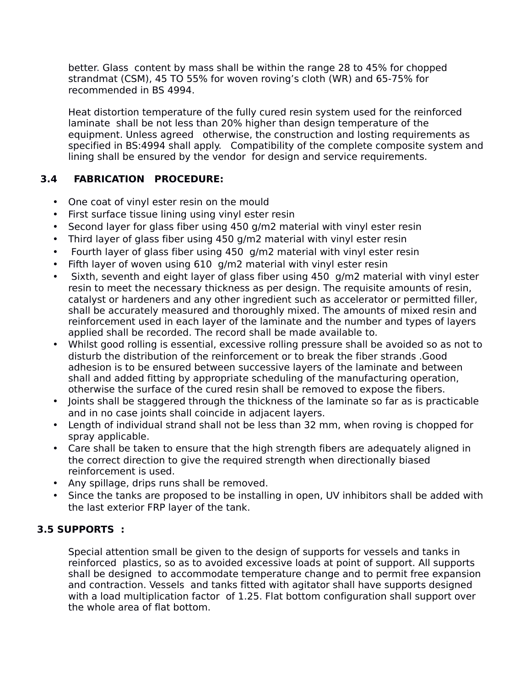better. Glass content by mass shall be within the range 28 to 45% for chopped strandmat (CSM), 45 TO 55% for woven roving's cloth (WR) and 65-75% for recommended in BS 4994.

Heat distortion temperature of the fully cured resin system used for the reinforced laminate shall be not less than 20% higher than design temperature of the equipment. Unless agreed otherwise, the construction and losting requirements as specified in BS:4994 shall apply. Compatibility of the complete composite system and lining shall be ensured by the vendor for design and service requirements.

# **3.4 FABRICATION PROCEDURE:**

- One coat of vinyl ester resin on the mould
- First surface tissue lining using vinyl ester resin
- Second layer for glass fiber using 450 g/m2 material with vinyl ester resin
- Third layer of glass fiber using 450 g/m2 material with vinyl ester resin
- Fourth layer of glass fiber using 450 g/m2 material with vinyl ester resin
- Fifth layer of woven using 610 g/m2 material with vinyl ester resin
- Sixth, seventh and eight layer of glass fiber using 450 g/m2 material with vinyl ester resin to meet the necessary thickness as per design. The requisite amounts of resin, catalyst or hardeners and any other ingredient such as accelerator or permitted filler, shall be accurately measured and thoroughly mixed. The amounts of mixed resin and reinforcement used in each layer of the laminate and the number and types of layers applied shall be recorded. The record shall be made available to.
- Whilst good rolling is essential, excessive rolling pressure shall be avoided so as not to disturb the distribution of the reinforcement or to break the fiber strands .Good adhesion is to be ensured between successive layers of the laminate and between shall and added fitting by appropriate scheduling of the manufacturing operation, otherwise the surface of the cured resin shall be removed to expose the fibers.
- Joints shall be staggered through the thickness of the laminate so far as is practicable and in no case joints shall coincide in adjacent layers.
- Length of individual strand shall not be less than 32 mm, when roving is chopped for spray applicable.
- Care shall be taken to ensure that the high strength fibers are adequately aligned in the correct direction to give the required strength when directionally biased reinforcement is used.
- Any spillage, drips runs shall be removed.
- Since the tanks are proposed to be installing in open, UV inhibitors shall be added with the last exterior FRP layer of the tank.

## **3.5 SUPPORTS :**

Special attention small be given to the design of supports for vessels and tanks in reinforced plastics, so as to avoided excessive loads at point of support. All supports shall be designed to accommodate temperature change and to permit free expansion and contraction. Vessels and tanks fitted with agitator shall have supports designed with a load multiplication factor of 1.25. Flat bottom configuration shall support over the whole area of flat bottom.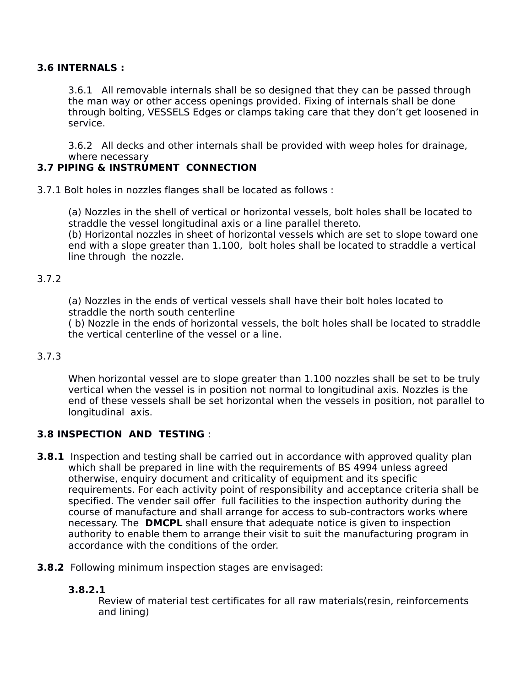### **3.6 INTERNALS :**

3.6.1 All removable internals shall be so designed that they can be passed through the man way or other access openings provided. Fixing of internals shall be done through bolting, VESSELS Edges or clamps taking care that they don't get loosened in service.

3.6.2 All decks and other internals shall be provided with weep holes for drainage, where necessary

# **3.7 PIPING & INSTRUMENT CONNECTION**

3.7.1 Bolt holes in nozzles flanges shall be located as follows :

 (a) Nozzles in the shell of vertical or horizontal vessels, bolt holes shall be located to straddle the vessel longitudinal axis or a line parallel thereto.

 (b) Horizontal nozzles in sheet of horizontal vessels which are set to slope toward one end with a slope greater than 1.100, bolt holes shall be located to straddle a vertical line through the nozzle.

### 3.7.2

(a) Nozzles in the ends of vertical vessels shall have their bolt holes located to straddle the north south centerline

( b) Nozzle in the ends of horizontal vessels, the bolt holes shall be located to straddle the vertical centerline of the vessel or a line.

### 3.7.3

When horizontal vessel are to slope greater than 1.100 nozzles shall be set to be truly vertical when the vessel is in position not normal to longitudinal axis. Nozzles is the end of these vessels shall be set horizontal when the vessels in position, not parallel to longitudinal axis.

### **3.8 INSPECTION AND TESTING** :

- **3.8.1** Inspection and testing shall be carried out in accordance with approved quality plan which shall be prepared in line with the requirements of BS 4994 unless agreed otherwise, enquiry document and criticality of equipment and its specific requirements. For each activity point of responsibility and acceptance criteria shall be specified. The vender sail offer full facilities to the inspection authority during the course of manufacture and shall arrange for access to sub-contractors works where necessary. The **DMCPL** shall ensure that adequate notice is given to inspection authority to enable them to arrange their visit to suit the manufacturing program in accordance with the conditions of the order.
- **3.8.2** Following minimum inspection stages are envisaged:

### **3.8.2.1**

Review of material test certificates for all raw materials(resin, reinforcements and lining)